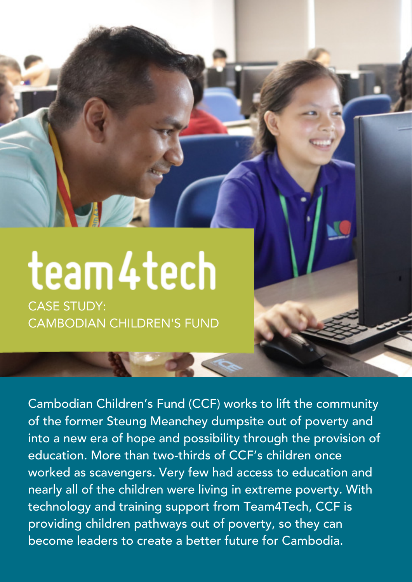## team4tech

CASE STUDY: CAMBODIAN CHILDREN'S FUND

Cambodian Children's Fund (CCF) works to lift the community of the former Steung Meanchey dumpsite out of poverty and into a new era of hope and possibility through the provision of education. More than two-thirds of CCF's children once worked as scavengers. Very few had access to education and nearly all of the children were living in extreme poverty. With technology and training support from Team4Tech, CCF is providing children pathways out of poverty, so they can become leaders to create a better future for Cambodia.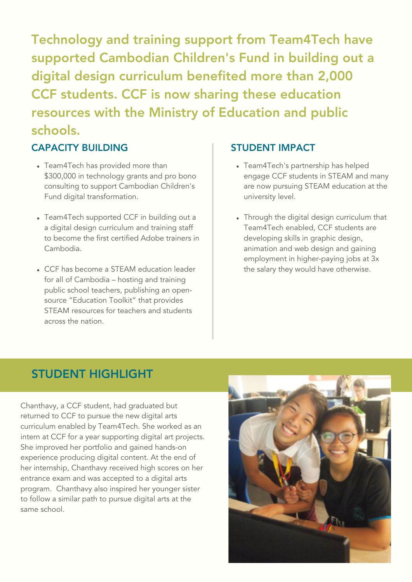Technology and training support from Team4Tech have supported Cambodian Children's Fund in building out a digital design curriculum benefited more than 2,000 CCF students. CCF is now sharing these education resources with the Ministry of Education and public schools.

#### CAPACITY BUILDING **STUDENT IMPACT**

- Team4Tech has provided more than \$300,000 in technology grants and pro bono consulting to support Cambodian Children's Fund digital transformation.
- Team4Tech supported CCF in building out a a digital design curriculum and training staff to become the first certified Adobe trainers in Cambodia.
- CCF has become a STEAM education leader for all of Cambodia – hosting and training public school teachers, publishing an opensource "Education Toolkit" that provides STEAM resources for teachers and students across the nation.

- Team4Tech's partnership has helped engage CCF students in STEAM and many are now pursuing STEAM education at the university level.
- Through the digital design curriculum that Team4Tech enabled, CCF students are developing skills in graphic design, animation and web design and gaining employment in higher-paying jobs at 3x the salary they would have otherwise.

### STUDENT HIGHLIGHT

Chanthavy, a CCF student, had graduated but returned to CCF to pursue the new digital arts curriculum enabled by Team4Tech. She worked as an intern at CCF for a year supporting digital art projects. She improved her portfolio and gained hands-on experience producing digital content. At the end of her internship, Chanthavy received high scores on her entrance exam and was accepted to a digital arts program. Chanthavy also inspired her younger sister to follow a similar path to pursue digital arts at the same school.

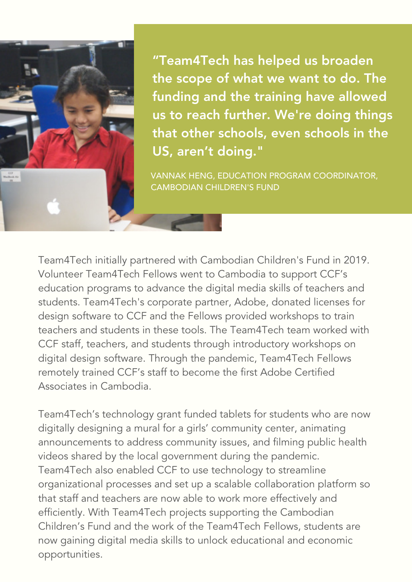

"Team4Tech has helped us broaden the scope of what we want to do. The funding and the training have allowed us to reach further. We're doing things that other schools, even schools in the US, aren't doing."

VANNAK HENG, EDUCATION PROGRAM COORDINATOR, CAMBODIAN CHILDREN'S FUND

Team4Tech initially partnered with Cambodian Children's Fund in 2019. Volunteer Team4Tech Fellows went to Cambodia to support CCF's education programs to advance the digital media skills of teachers and students. Team4Tech's corporate partner, Adobe, donated licenses for design software to CCF and the Fellows provided workshops to train teachers and students in these tools. The Team4Tech team worked with CCF staff, teachers, and students through introductory workshops on digital design software. Through the pandemic, Team4Tech Fellows remotely trained CCF's staff to become the first Adobe Certified Associates in Cambodia.

Team4Tech's technology grant funded tablets for students who are now digitally designing a mural for a girls' community center, animating announcements to address community issues, and filming public health videos shared by the local government during the pandemic. Team4Tech also enabled CCF to use technology to streamline organizational processes and set up a scalable collaboration platform so that staff and teachers are now able to work more effectively and efficiently. With Team4Tech projects supporting the Cambodian Children's Fund and the work of the Team4Tech Fellows, students are now gaining digital media skills to unlock educational and economic opportunities.